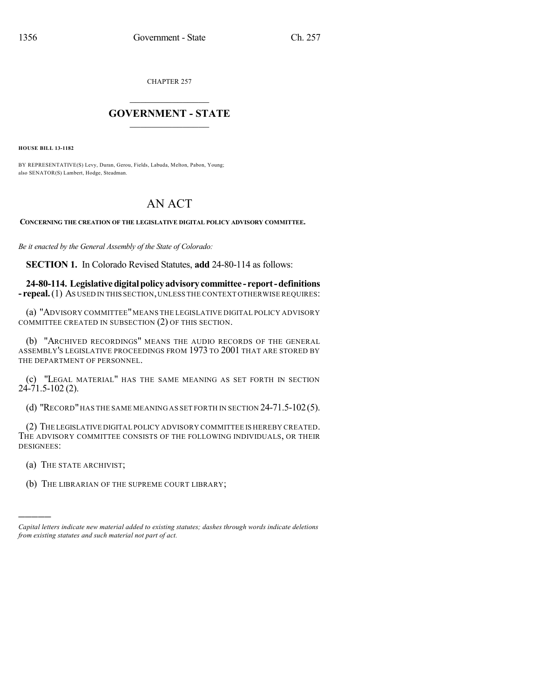CHAPTER 257

## $\mathcal{L}_\text{max}$  . The set of the set of the set of the set of the set of the set of the set of the set of the set of the set of the set of the set of the set of the set of the set of the set of the set of the set of the set **GOVERNMENT - STATE**  $\_$   $\_$

**HOUSE BILL 13-1182**

BY REPRESENTATIVE(S) Levy, Duran, Gerou, Fields, Labuda, Melton, Pabon, Young; also SENATOR(S) Lambert, Hodge, Steadman.

## AN ACT

**CONCERNING THE CREATION OF THE LEGISLATIVE DIGITAL POLICY ADVISORY COMMITTEE.**

*Be it enacted by the General Assembly of the State of Colorado:*

**SECTION 1.** In Colorado Revised Statutes, **add** 24-80-114 as follows:

**24-80-114. Legislativedigitalpolicyadvisorycommittee - report-definitions - repeal.**(1) AS USED IN THIS SECTION,UNLESS THE CONTEXT OTHERWISE REQUIRES:

(a) "ADVISORY COMMITTEE" MEANS THE LEGISLATIVE DIGITAL POLICY ADVISORY COMMITTEE CREATED IN SUBSECTION (2) OF THIS SECTION.

(b) "ARCHIVED RECORDINGS" MEANS THE AUDIO RECORDS OF THE GENERAL ASSEMBLY'S LEGISLATIVE PROCEEDINGS FROM 1973 TO 2001 THAT ARE STORED BY THE DEPARTMENT OF PERSONNEL.

(c) "LEGAL MATERIAL" HAS THE SAME MEANING AS SET FORTH IN SECTION  $24 - 71.5 - 102(2)$ .

(d) "RECORD"HAS THE SAME MEANING AS SET FORTH IN SECTION 24-71.5-102(5).

(2) THE LEGISLATIVE DIGITAL POLICY ADVISORY COMMITTEE IS HEREBY CREATED. THE ADVISORY COMMITTEE CONSISTS OF THE FOLLOWING INDIVIDUALS, OR THEIR DESIGNEES:

(a) THE STATE ARCHIVIST;

)))))

(b) THE LIBRARIAN OF THE SUPREME COURT LIBRARY;

*Capital letters indicate new material added to existing statutes; dashes through words indicate deletions from existing statutes and such material not part of act.*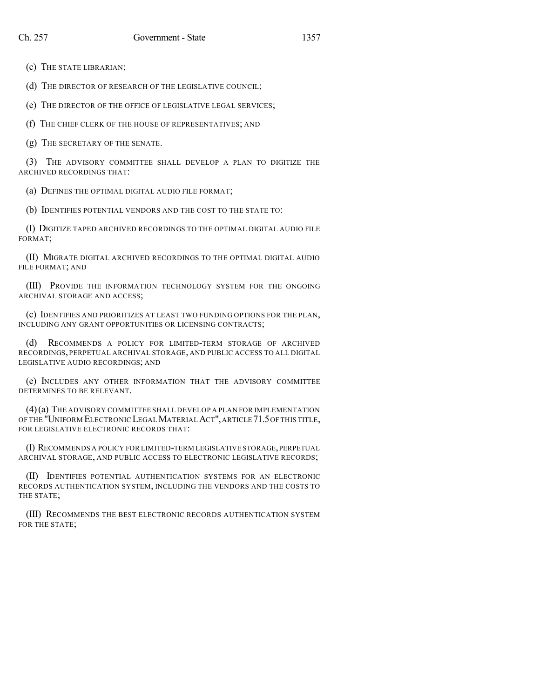(c) THE STATE LIBRARIAN;

(d) THE DIRECTOR OF RESEARCH OF THE LEGISLATIVE COUNCIL;

(e) THE DIRECTOR OF THE OFFICE OF LEGISLATIVE LEGAL SERVICES;

(f) THE CHIEF CLERK OF THE HOUSE OF REPRESENTATIVES; AND

(g) THE SECRETARY OF THE SENATE.

(3) THE ADVISORY COMMITTEE SHALL DEVELOP A PLAN TO DIGITIZE THE ARCHIVED RECORDINGS THAT:

(a) DEFINES THE OPTIMAL DIGITAL AUDIO FILE FORMAT;

(b) IDENTIFIES POTENTIAL VENDORS AND THE COST TO THE STATE TO:

(I) DIGITIZE TAPED ARCHIVED RECORDINGS TO THE OPTIMAL DIGITAL AUDIO FILE FORMAT;

(II) MIGRATE DIGITAL ARCHIVED RECORDINGS TO THE OPTIMAL DIGITAL AUDIO FILE FORMAT; AND

(III) PROVIDE THE INFORMATION TECHNOLOGY SYSTEM FOR THE ONGOING ARCHIVAL STORAGE AND ACCESS;

(c) IDENTIFIES AND PRIORITIZES AT LEAST TWO FUNDING OPTIONS FOR THE PLAN, INCLUDING ANY GRANT OPPORTUNITIES OR LICENSING CONTRACTS;

(d) RECOMMENDS A POLICY FOR LIMITED-TERM STORAGE OF ARCHIVED RECORDINGS, PERPETUAL ARCHIVAL STORAGE, AND PUBLIC ACCESS TO ALL DIGITAL LEGISLATIVE AUDIO RECORDINGS; AND

(e) INCLUDES ANY OTHER INFORMATION THAT THE ADVISORY COMMITTEE DETERMINES TO BE RELEVANT.

(4)(a) THE ADVISORY COMMITTEE SHALL DEVELOP A PLAN FOR IMPLEMENTATION OF THE "UNIFORM ELECTRONIC LEGALMATERIAL ACT",ARTICLE 71.5OF THIS TITLE, FOR LEGISLATIVE ELECTRONIC RECORDS THAT:

(I) RECOMMENDS A POLICY FOR LIMITED-TERM LEGISLATIVE STORAGE,PERPETUAL ARCHIVAL STORAGE, AND PUBLIC ACCESS TO ELECTRONIC LEGISLATIVE RECORDS;

(II) IDENTIFIES POTENTIAL AUTHENTICATION SYSTEMS FOR AN ELECTRONIC RECORDS AUTHENTICATION SYSTEM, INCLUDING THE VENDORS AND THE COSTS TO THE STATE;

(III) RECOMMENDS THE BEST ELECTRONIC RECORDS AUTHENTICATION SYSTEM FOR THE STATE;